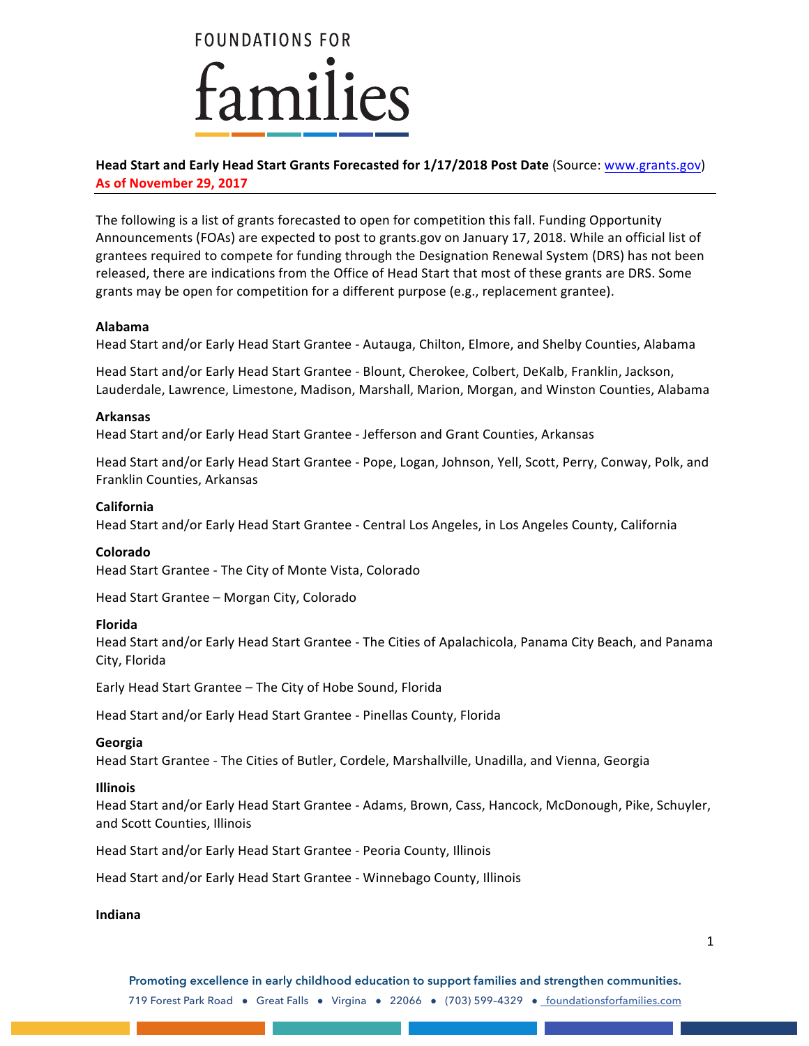**FOUNDATIONS FOR** iamilies

# **Head Start and Early Head Start Grants Forecasted for 1/17/2018 Post Date (Source: www.grants.gov) As of November 29, 2017**

The following is a list of grants forecasted to open for competition this fall. Funding Opportunity Announcements (FOAs) are expected to post to grants.gov on January 17, 2018. While an official list of grantees required to compete for funding through the Designation Renewal System (DRS) has not been released, there are indications from the Office of Head Start that most of these grants are DRS. Some grants may be open for competition for a different purpose (e.g., replacement grantee).

## **Alabama**

Head Start and/or Early Head Start Grantee - Autauga, Chilton, Elmore, and Shelby Counties, Alabama

Head Start and/or Early Head Start Grantee - Blount, Cherokee, Colbert, DeKalb, Franklin, Jackson, Lauderdale, Lawrence, Limestone, Madison, Marshall, Marion, Morgan, and Winston Counties, Alabama

## **Arkansas**

Head Start and/or Early Head Start Grantee - Jefferson and Grant Counties, Arkansas

Head Start and/or Early Head Start Grantee - Pope, Logan, Johnson, Yell, Scott, Perry, Conway, Polk, and Franklin Counties, Arkansas

### **California**

Head Start and/or Early Head Start Grantee - Central Los Angeles, in Los Angeles County, California

#### **Colorado**

Head Start Grantee - The City of Monte Vista, Colorado

Head Start Grantee - Morgan City, Colorado

## **Florida**

Head Start and/or Early Head Start Grantee - The Cities of Apalachicola, Panama City Beach, and Panama City, Florida

Early Head Start Grantee - The City of Hobe Sound, Florida

Head Start and/or Early Head Start Grantee - Pinellas County, Florida

## **Georgia**

Head Start Grantee - The Cities of Butler, Cordele, Marshallville, Unadilla, and Vienna, Georgia

#### **Illinois**

Head Start and/or Early Head Start Grantee - Adams, Brown, Cass, Hancock, McDonough, Pike, Schuyler, and Scott Counties, Illinois

Head Start and/or Early Head Start Grantee - Peoria County, Illinois

Head Start and/or Early Head Start Grantee - Winnebago County, Illinois

## **Indiana**

**Promoting excellence in early childhood education to support families and strengthen communities.** 719 Forest Park Road ● Great Falls ● Virgina ● 22066 ● (703) 599–4329 ● foundationsforfamilies.com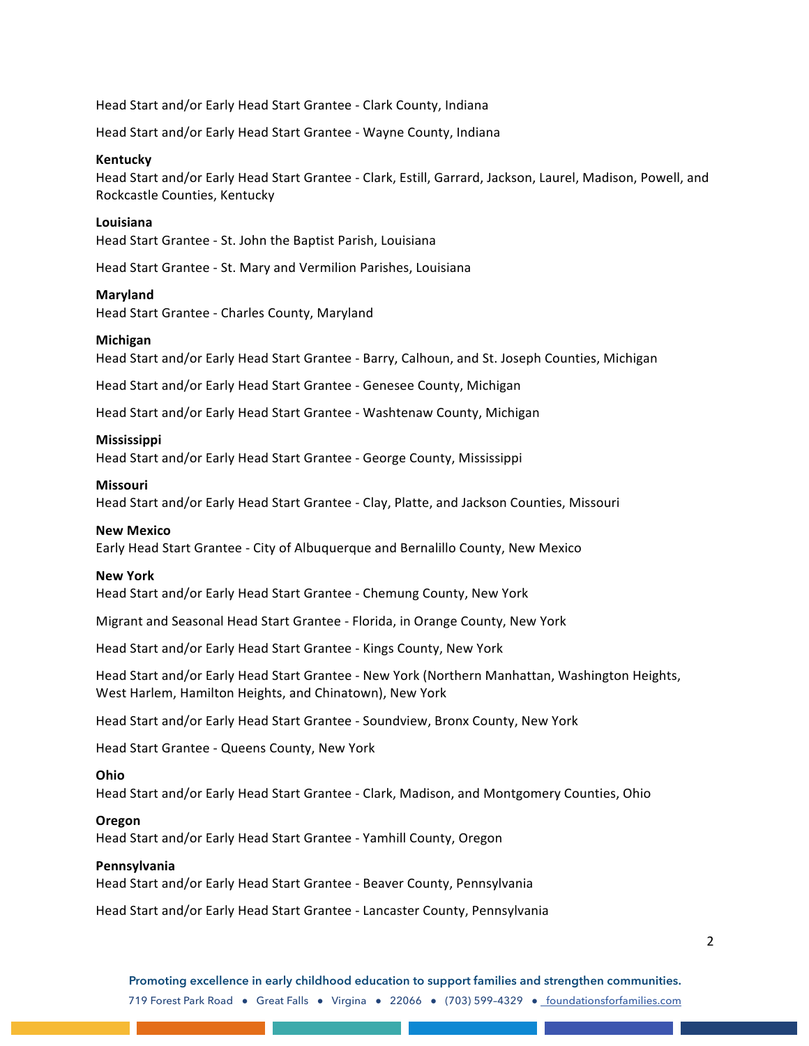Head Start and/or Early Head Start Grantee - Clark County, Indiana

Head Start and/or Early Head Start Grantee - Wayne County, Indiana

#### **Kentucky**

Head Start and/or Early Head Start Grantee - Clark, Estill, Garrard, Jackson, Laurel, Madison, Powell, and Rockcastle Counties, Kentucky

#### **Louisiana**

Head Start Grantee - St. John the Baptist Parish, Louisiana

Head Start Grantee - St. Mary and Vermilion Parishes, Louisiana

### **Maryland**

Head Start Grantee - Charles County, Maryland

### **Michigan**

Head Start and/or Early Head Start Grantee - Barry, Calhoun, and St. Joseph Counties, Michigan

Head Start and/or Early Head Start Grantee - Genesee County, Michigan

Head Start and/or Early Head Start Grantee - Washtenaw County, Michigan

### **Mississippi**

Head Start and/or Early Head Start Grantee - George County, Mississippi

#### **Missouri**

Head Start and/or Early Head Start Grantee - Clay, Platte, and Jackson Counties, Missouri

#### **New Mexico**

Early Head Start Grantee - City of Albuquerque and Bernalillo County, New Mexico

#### **New York**

Head Start and/or Early Head Start Grantee - Chemung County, New York

Migrant and Seasonal Head Start Grantee - Florida, in Orange County, New York

Head Start and/or Early Head Start Grantee - Kings County, New York

Head Start and/or Early Head Start Grantee - New York (Northern Manhattan, Washington Heights, West Harlem, Hamilton Heights, and Chinatown), New York

Head Start and/or Early Head Start Grantee - Soundview, Bronx County, New York

Head Start Grantee - Queens County, New York

#### **Ohio**

Head Start and/or Early Head Start Grantee - Clark, Madison, and Montgomery Counties, Ohio

#### **Oregon**

Head Start and/or Early Head Start Grantee - Yamhill County, Oregon

#### **Pennsylvania**

Head Start and/or Early Head Start Grantee - Beaver County, Pennsylvania

Head Start and/or Early Head Start Grantee - Lancaster County, Pennsylvania

**Promoting excellence in early childhood education to support families and strengthen communities.** 719 Forest Park Road ● Great Falls ● Virgina ● 22066 ● (703) 599–4329 ● foundationsforfamilies.com